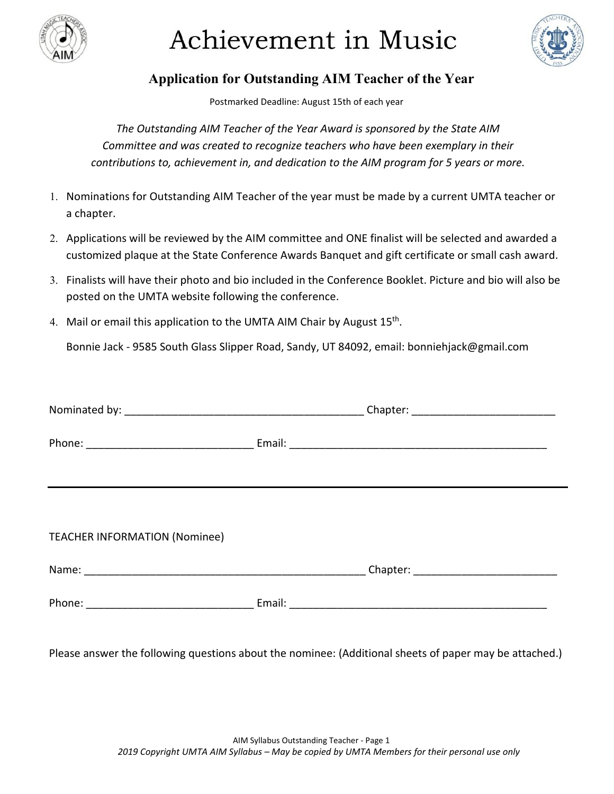

## Achievement in Music



## **Application for Outstanding AIM Teacher of the Year**

Postmarked Deadline: August 15th of each year

*The Outstanding AIM Teacher of the Year Award is sponsored by the State AIM Committee and was created to recognize teachers who have been exemplary in their contributions to, achievement in, and dedication to the AIM program for 5 years or more.* 

- 1. Nominations for Outstanding AIM Teacher of the year must be made by a current UMTA teacher or a chapter.
- 2. Applications will be reviewed by the AIM committee and ONE finalist will be selected and awarded a customized plaque at the State Conference Awards Banquet and gift certificate or small cash award.
- 3. Finalists will have their photo and bio included in the Conference Booklet. Picture and bio will also be posted on the UMTA website following the conference.
- 4. Mail or email this application to the UMTA AIM Chair by August 15<sup>th</sup>.

Bonnie Jack - 9585 South Glass Slipper Road, Sandy, UT 84092, email: bonniehjack@gmail.com

| <b>TEACHER INFORMATION (Nominee)</b> |  |
|--------------------------------------|--|
|                                      |  |
|                                      |  |

Please answer the following questions about the nominee: (Additional sheets of paper may be attached.)